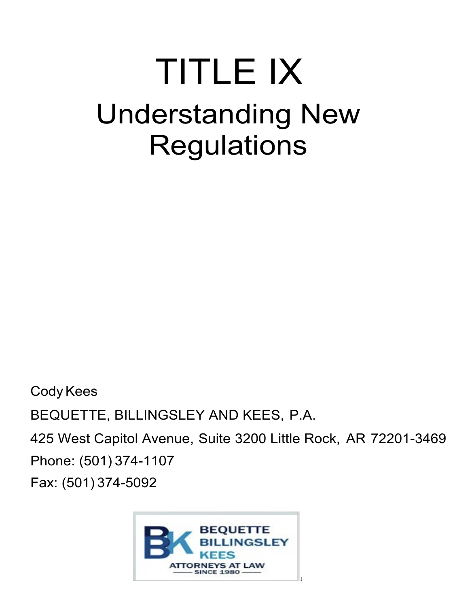# TITLE IX Understanding New **Regulations**

CodyKees BEQUETTE, BILLINGSLEY AND KEES, P.A. 425 West Capitol Avenue, Suite 3200 Little Rock, AR 72201-3469 Phone: (501) 374-1107 Fax: (501) 374-5092

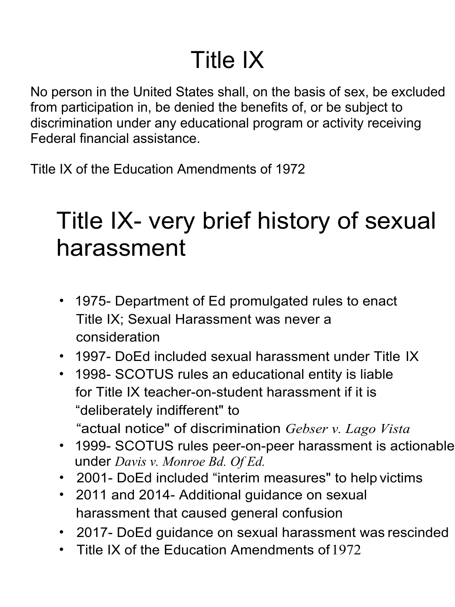### Title IX

No person in the United States shall, on the basis of sex, be excluded from participation in, be denied the benefits of, or be subject to discrimination under any educational program or activity receiving Federal financial assistance.

Title IX of the Education Amendments of 1972

#### Title IX- very brief history of sexual harassment

- 1975- Department of Ed promulgated rules to enact Title IX; Sexual Harassment was never a consideration
- 1997- DoEd included sexual harassment under Title IX
- 1998- SCOTUS rules an educational entity is liable for Title IX teacher-on-student harassment if it is "deliberately indifferent" to "actual notice" of discrimination *Gebser v. Lago Vista*
- 1999- SCOTUS rules peer-on-peer harassment is actionable under *Davis v. Monroe Bd. Of Ed.*
- 2001- DoEd included "interim measures" to help victims
- 2011 and 2014- Additional guidance on sexual harassment that caused general confusion
- 2017- DoEd guidance on sexual harassment was rescinded
- Title IX of the Education Amendments of 1972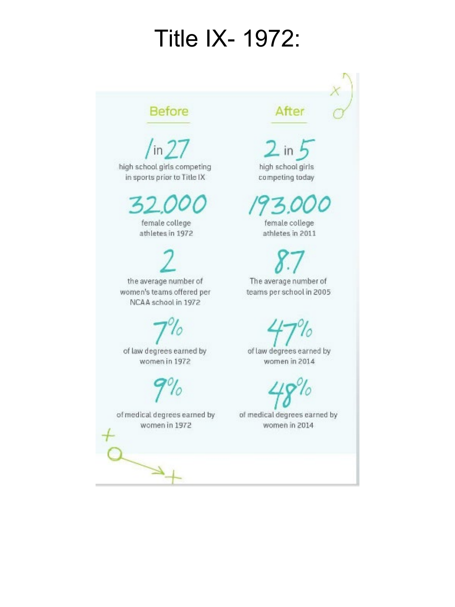#### **Title IX- 1972:**

#### **Before**

 $\sqrt{\ln 27}$ high school girls competing in sports prior to Title IX

female college athletes in 1972

the average number of women's teams offered per NCAA school in 1972

of law degrees earned by women in 1972

of medical degrees earned by women in 1972

#### After

high school girls competing today

female college athletes in 2011

The average number of teams per school in 2005

10

of law degrees earned by women in 2014

of medical degrees earned by women in 2014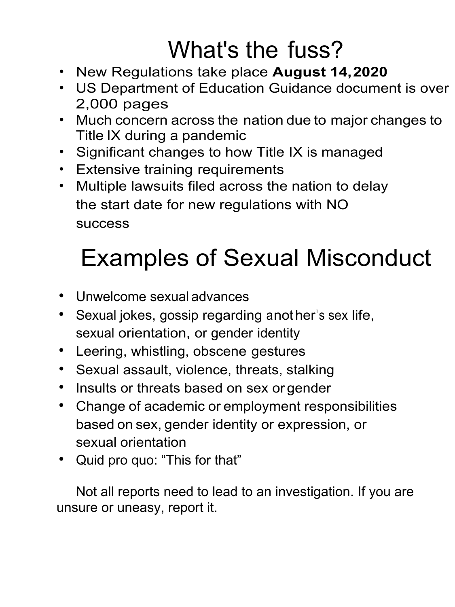### What's the fuss?

- New Regulations take place **August 14,2020**
- US Department of Education Guidance document is over 2,000 pages
- Much concern across the nation due to major changes to Title IX during a pandemic
- Significant changes to how Title IX is managed
- Extensive training requirements
- Multiple lawsuits filed across the nation to delay the start date for new regulations with NO success

### Examples of Sexual Misconduct

- Unwelcome sexual advances
- Sexual jokes, gossip regarding anot her's sex life, sexual orientation, or gender identity
- Leering, whistling, obscene gestures
- Sexual assault, violence, threats, stalking
- Insults or threats based on sex or gender
- Change of academic or employment responsibilities based on sex, gender identity or expression, or sexual orientation
- Quid pro quo: "This for that"

Not all reports need to lead to an investigation. If you are unsure or uneasy, report it.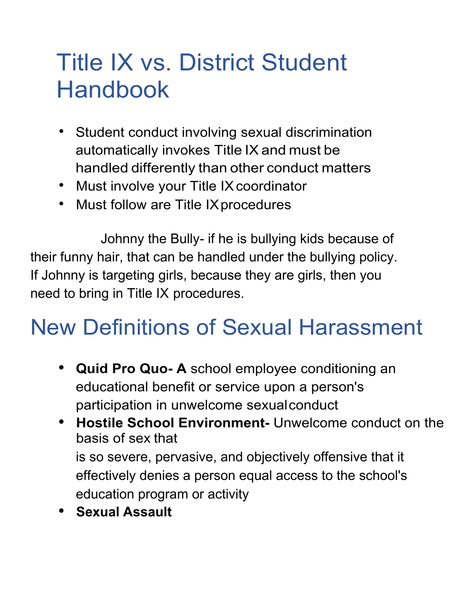#### Title IX vs. District Student Handbook

- Student conduct involving sexual discrimination automatically invokes Title IX and must be handled differently than other conduct matters
- Must involve your Title IX coordinator
- Must follow are Title IX procedures

Johnny the Bully- if he is bullying kids because of their funny hair, that can be handled under the bullying policy. If Johnny is targeting girls, because they are girls, then you need to bring in Title IX procedures.

#### New Definitions of Sexual Harassment

- **• Quid Pro Quo- A** school employee conditioning an educational benefit or service upon a person's participation in unwelcome sexualconduct
- **• Hostile School Environment-** Unwelcome conduct on the basis of sex that is so severe, pervasive, and objectively offensive that it effectively denies a person equal access to the school's education program or activity
- **• Sexual Assault**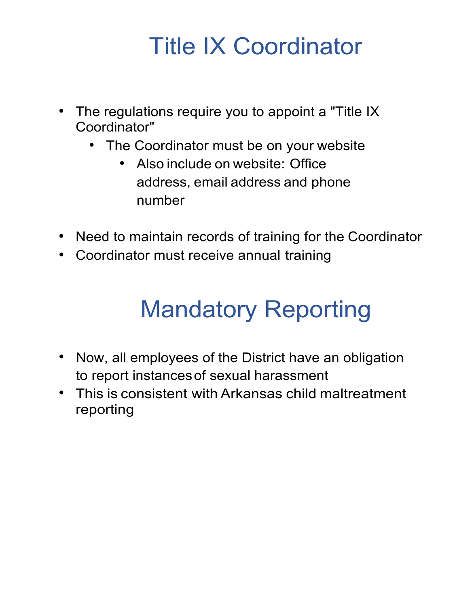#### Title IX Coordinator

- The regulations require you to appoint a "Title IX Coordinator"
	- The Coordinator must be on your website
		- Also include on website: Office address, email address and phone number
- Need to maintain records of training for the Coordinator
- Coordinator must receive annual training

#### Mandatory Reporting

- Now, all employees of the District have an obligation to report instancesof sexual harassment
- This is consistent with Arkansas child maltreatment reporting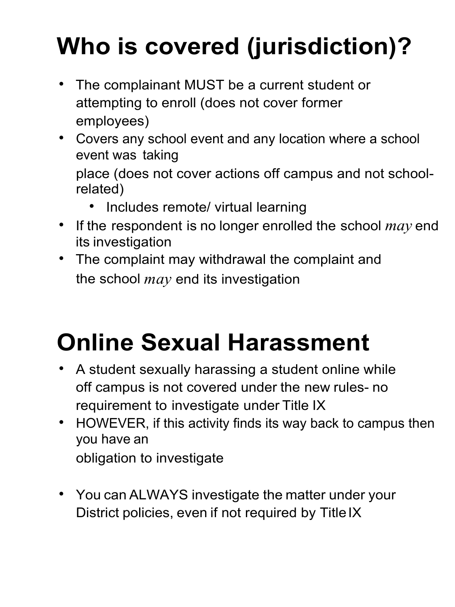## **Who is covered (jurisdiction)?**

- The complainant MUST be a current student or attempting to enroll (does not cover former employees)
- Covers any school event and any location where a school event was taking place (does not cover actions off campus and not school-

related)

- Includes remote/ virtual learning
- If the respondent is no longer enrolled the school *may* end its investigation
- The complaint may withdrawal the complaint and the school *may* end its investigation

## **Online Sexual Harassment**

- A student sexually harassing a student online while off campus is not covered under the new rules- no requirement to investigate under Title IX
- HOWEVER, if this activity finds its way back to campus then you have an obligation to investigate
- You can ALWAYS investigate the matter under your District policies, even if not required by TitleIX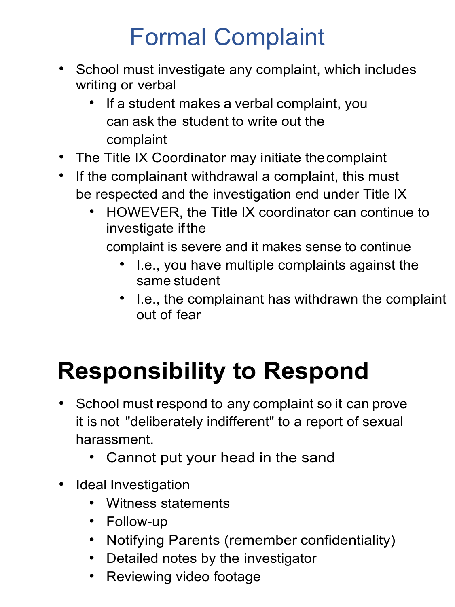### Formal Complaint

- School must investigate any complaint, which includes writing or verbal
	- If a student makes a verbal complaint, you can ask the student to write out the complaint
- The Title IX Coordinator may initiate thecomplaint
- If the complainant withdrawal a complaint, this must be respected and the investigation end under Title IX
	- HOWEVER, the Title IX coordinator can continue to investigate ifthe

complaint is severe and it makes sense to continue

- I.e., you have multiple complaints against the same student
- I.e., the complainant has withdrawn the complaint out of fear

### **Responsibility to Respond**

- School must respond to any complaint so it can prove it is not "deliberately indifferent" to a report of sexual harassment.
	- Cannot put your head in the sand
- Ideal Investigation
	- Witness statements
	- Follow-up
	- Notifying Parents (remember confidentiality)
	- Detailed notes by the investigator
	- Reviewing video footage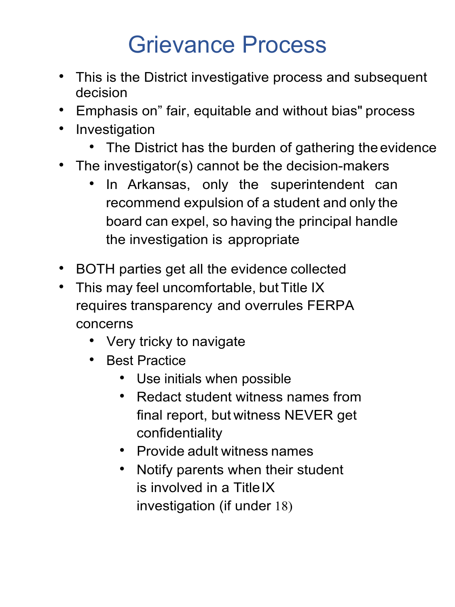#### Grievance Process

- This is the District investigative process and subsequent decision
- Emphasis on" fair, equitable and without bias" process
- Investigation
	- The District has the burden of gathering the evidence
- The investigator(s) cannot be the decision-makers
	- In Arkansas, only the superintendent can recommend expulsion of a student and only the board can expel, so having the principal handle the investigation is appropriate
- BOTH parties get all the evidence collected
- This may feel uncomfortable, but Title IX requires transparency and overrules FERPA concerns
	- Very tricky to navigate
	- Best Practice
		- Use initials when possible
		- Redact student witness names from final report, but witness NEVER get confidentiality
		- Provide adult witness names
		- Notify parents when their student is involved in a Title IX investigation (if under 18)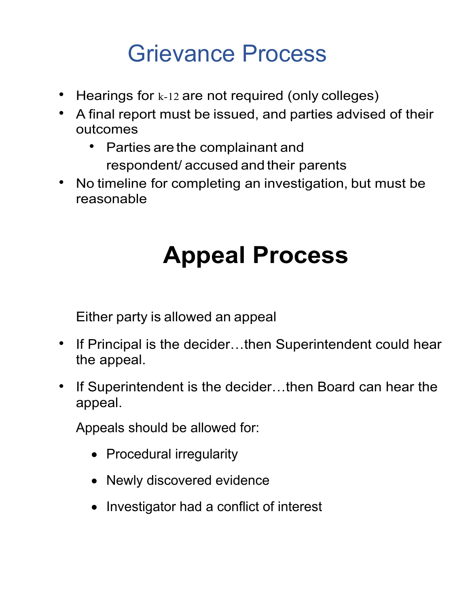#### Grievance Process

- Hearings for k-12 are not required (only colleges)
- A final report must be issued, and parties advised of their outcomes
	- Parties are the complainant and respondent/ accused and their parents
- No timeline for completing an investigation, but must be reasonable

### **Appeal Process**

Either party is allowed an appeal

- If Principal is the decider...then Superintendent could hear the appeal.
- If Superintendent is the decider...then Board can hear the appeal.

Appeals should be allowed for:

- Procedural irregularity
- Newly discovered evidence
- Investigator had a conflict of interest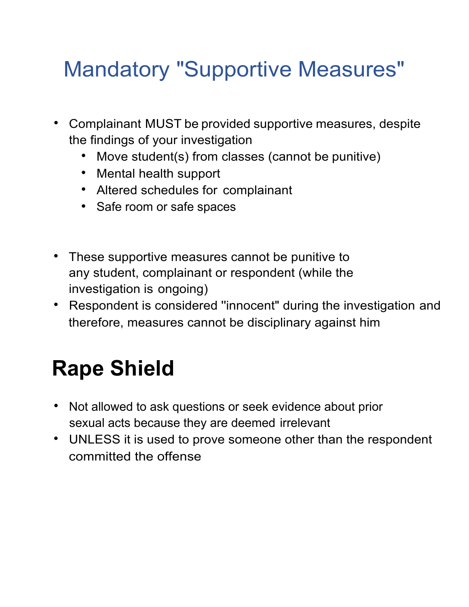#### Mandatory "Supportive Measures"

- Complainant MUST be provided supportive measures, despite the findings of your investigation
	- Move student(s) from classes (cannot be punitive)
	- Mental health support
	- Altered schedules for complainant
	- Safe room or safe spaces
- These supportive measures cannot be punitive to any student, complainant or respondent (while the investigation is ongoing)
- Respondent is considered ''innocent" during the investigation and therefore, measures cannot be disciplinary against him

### **Rape Shield**

- Not allowed to ask questions or seek evidence about prior sexual acts because they are deemed irrelevant
- UNLESS it is used to prove someone other than the respondent committed the offense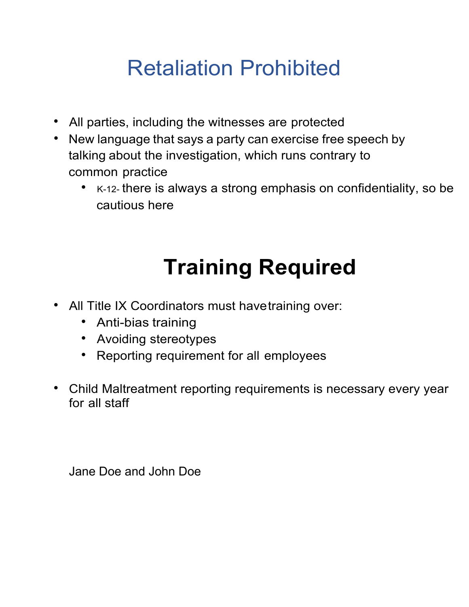#### Retaliation Prohibited

- All parties, including the witnesses are protected
- New language that says a party can exercise free speech by talking about the investigation, which runs contrary to common practice
	- K-12- there is always a strong emphasis on confidentiality, so be cautious here

## **Training Required**

- All Title IX Coordinators must havetraining over:
	- Anti-bias training
	- Avoiding stereotypes
	- Reporting requirement for all employees
- Child Maltreatment reporting requirements is necessary every year for all staff

Jane Doe and John Doe